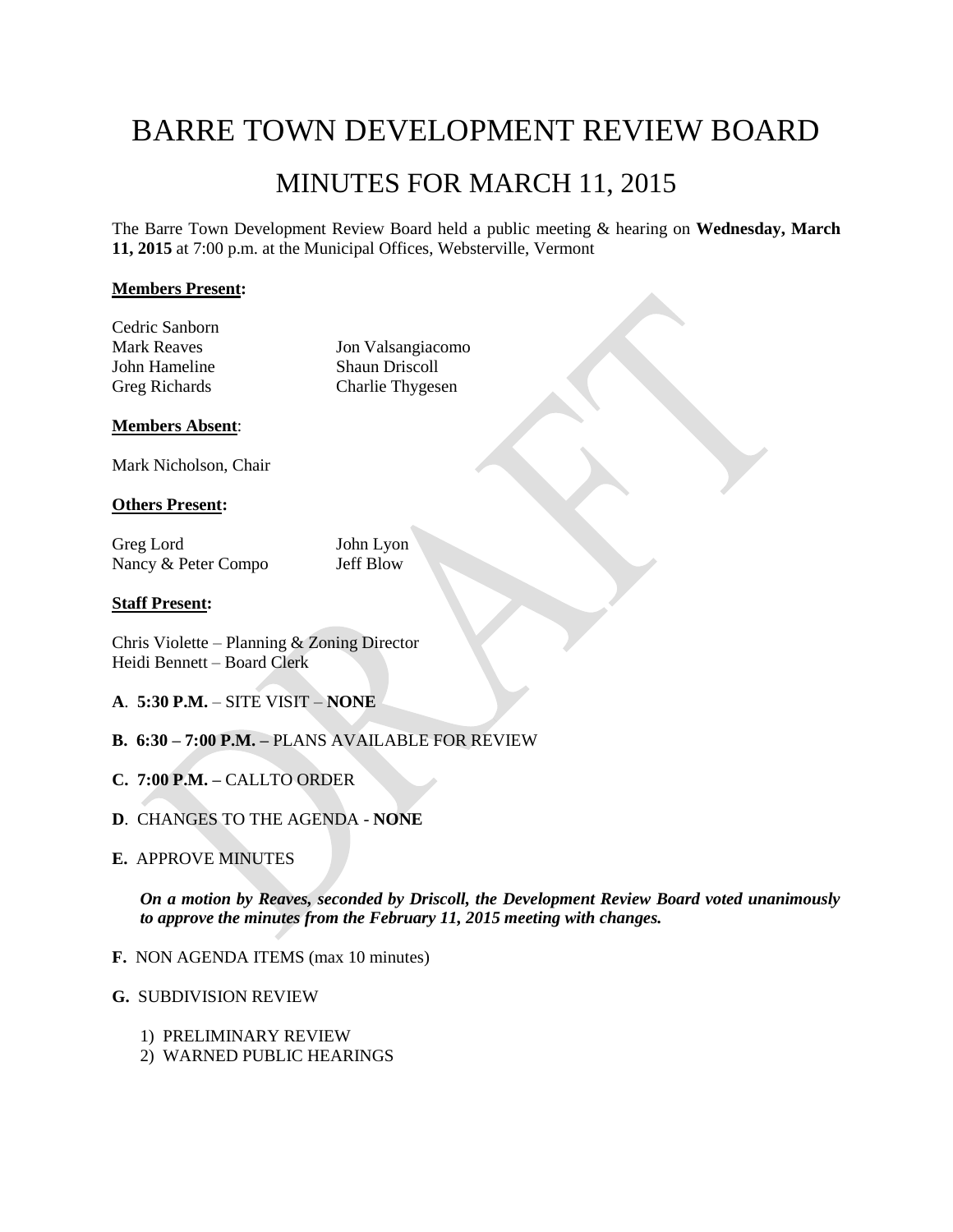# BARRE TOWN DEVELOPMENT REVIEW BOARD MINUTES FOR MARCH 11, 2015

The Barre Town Development Review Board held a public meeting & hearing on **Wednesday, March 11, 2015** at 7:00 p.m. at the Municipal Offices, Websterville, Vermont

# **Members Present:**

Cedric Sanborn

Mark Reaves Jon Valsangiacomo John Hameline Shaun Driscoll<br>Greg Richards Charlie Thyges Charlie Thygesen

# **Members Absent**:

Mark Nicholson, Chair

# **Others Present:**

Greg Lord John Lyon Nancy & Peter Compo Jeff Blow

# **Staff Present:**

Chris Violette – Planning & Zoning Director Heidi Bennett – Board Clerk

- **A**. **5:30 P.M.** SITE VISIT **NONE**
- **B. 6:30 – 7:00 P.M. –** PLANS AVAILABLE FOR REVIEW
- **C. 7:00 P.M. –** CALLTO ORDER
- **D**. CHANGES TO THE AGENDA **NONE**
- **E.** APPROVE MINUTES

*On a motion by Reaves, seconded by Driscoll, the Development Review Board voted unanimously to approve the minutes from the February 11, 2015 meeting with changes.*

- **F.** NON AGENDA ITEMS (max 10 minutes)
- **G.** SUBDIVISION REVIEW
	- 1) PRELIMINARY REVIEW
	- 2) WARNED PUBLIC HEARINGS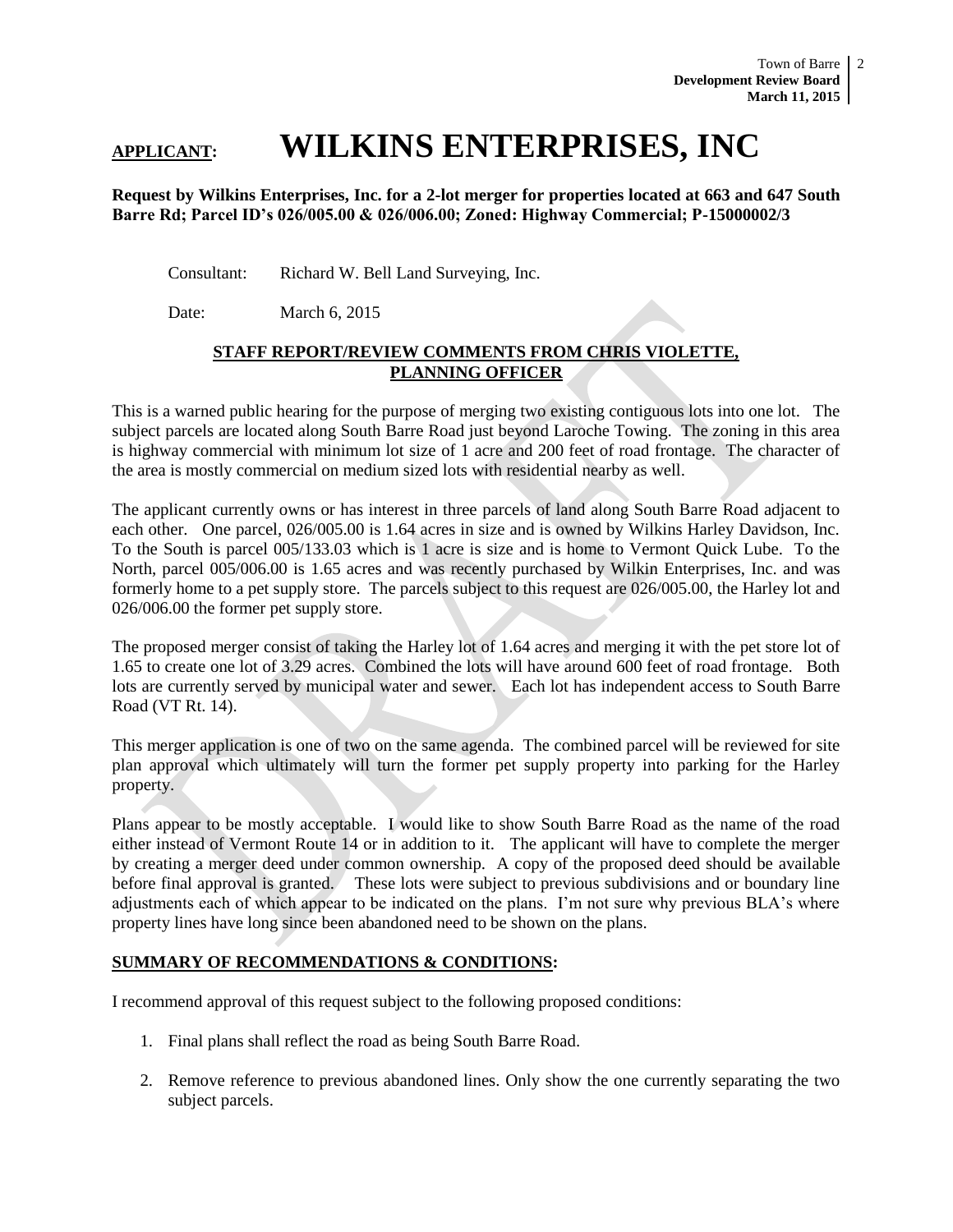# **APPLICANT: WILKINS ENTERPRISES, INC**

### **Request by Wilkins Enterprises, Inc. for a 2-lot merger for properties located at 663 and 647 South Barre Rd; Parcel ID's 026/005.00 & 026/006.00; Zoned: Highway Commercial; P-15000002/3**

Consultant: Richard W. Bell Land Surveying, Inc.

Date: March 6, 2015

# **STAFF REPORT/REVIEW COMMENTS FROM CHRIS VIOLETTE, PLANNING OFFICER**

This is a warned public hearing for the purpose of merging two existing contiguous lots into one lot. The subject parcels are located along South Barre Road just beyond Laroche Towing. The zoning in this area is highway commercial with minimum lot size of 1 acre and 200 feet of road frontage. The character of the area is mostly commercial on medium sized lots with residential nearby as well.

The applicant currently owns or has interest in three parcels of land along South Barre Road adjacent to each other. One parcel, 026/005.00 is 1.64 acres in size and is owned by Wilkins Harley Davidson, Inc. To the South is parcel 005/133.03 which is 1 acre is size and is home to Vermont Quick Lube. To the North, parcel 005/006.00 is 1.65 acres and was recently purchased by Wilkin Enterprises, Inc. and was formerly home to a pet supply store. The parcels subject to this request are 026/005.00, the Harley lot and 026/006.00 the former pet supply store.

The proposed merger consist of taking the Harley lot of 1.64 acres and merging it with the pet store lot of 1.65 to create one lot of 3.29 acres. Combined the lots will have around 600 feet of road frontage. Both lots are currently served by municipal water and sewer. Each lot has independent access to South Barre Road (VT Rt. 14).

This merger application is one of two on the same agenda. The combined parcel will be reviewed for site plan approval which ultimately will turn the former pet supply property into parking for the Harley property.

Plans appear to be mostly acceptable. I would like to show South Barre Road as the name of the road either instead of Vermont Route 14 or in addition to it. The applicant will have to complete the merger by creating a merger deed under common ownership. A copy of the proposed deed should be available before final approval is granted. These lots were subject to previous subdivisions and or boundary line adjustments each of which appear to be indicated on the plans. I'm not sure why previous BLA's where property lines have long since been abandoned need to be shown on the plans.

# **SUMMARY OF RECOMMENDATIONS & CONDITIONS:**

I recommend approval of this request subject to the following proposed conditions:

- 1. Final plans shall reflect the road as being South Barre Road.
- 2. Remove reference to previous abandoned lines. Only show the one currently separating the two subject parcels.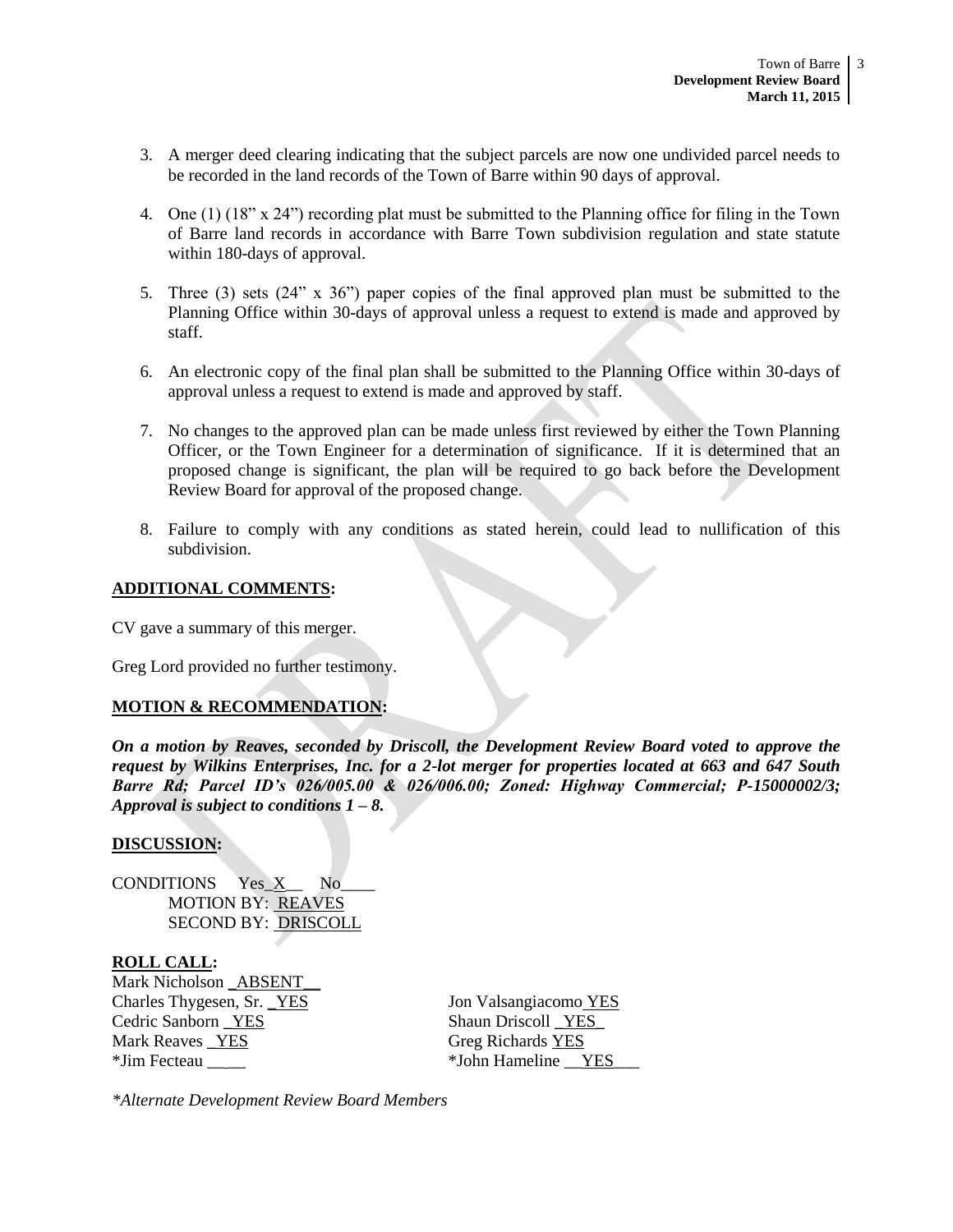- 3. A merger deed clearing indicating that the subject parcels are now one undivided parcel needs to be recorded in the land records of the Town of Barre within 90 days of approval.
- 4. One (1) (18" x 24") recording plat must be submitted to the Planning office for filing in the Town of Barre land records in accordance with Barre Town subdivision regulation and state statute within 180-days of approval.
- 5. Three (3) sets (24" x 36") paper copies of the final approved plan must be submitted to the Planning Office within 30-days of approval unless a request to extend is made and approved by staff.
- 6. An electronic copy of the final plan shall be submitted to the Planning Office within 30-days of approval unless a request to extend is made and approved by staff.
- 7. No changes to the approved plan can be made unless first reviewed by either the Town Planning Officer, or the Town Engineer for a determination of significance. If it is determined that an proposed change is significant, the plan will be required to go back before the Development Review Board for approval of the proposed change.
- 8. Failure to comply with any conditions as stated herein, could lead to nullification of this subdivision.

#### **ADDITIONAL COMMENTS:**

CV gave a summary of this merger.

Greg Lord provided no further testimony.

# **MOTION & RECOMMENDATION:**

*On a motion by Reaves, seconded by Driscoll, the Development Review Board voted to approve the request by Wilkins Enterprises, Inc. for a 2-lot merger for properties located at 663 and 647 South Barre Rd; Parcel ID's 026/005.00 & 026/006.00; Zoned: Highway Commercial; P-15000002/3; Approval is subject to conditions 1 – 8.* 

#### **DISCUSSION:**

CONDITIONS Yes X No MOTION BY: REAVES SECOND BY: DRISCOLL

# **ROLL CALL:**

Mark Nicholson ABSENT Charles Thygesen, Sr. <u>YES</u> Jon Valsangiacomo YES Cedric Sanborn \_YES Shaun Driscoll \_YES Mark Reaves YES Greg Richards YES \*Jim Fecteau  $*$ John Hameline YES

*\*Alternate Development Review Board Members*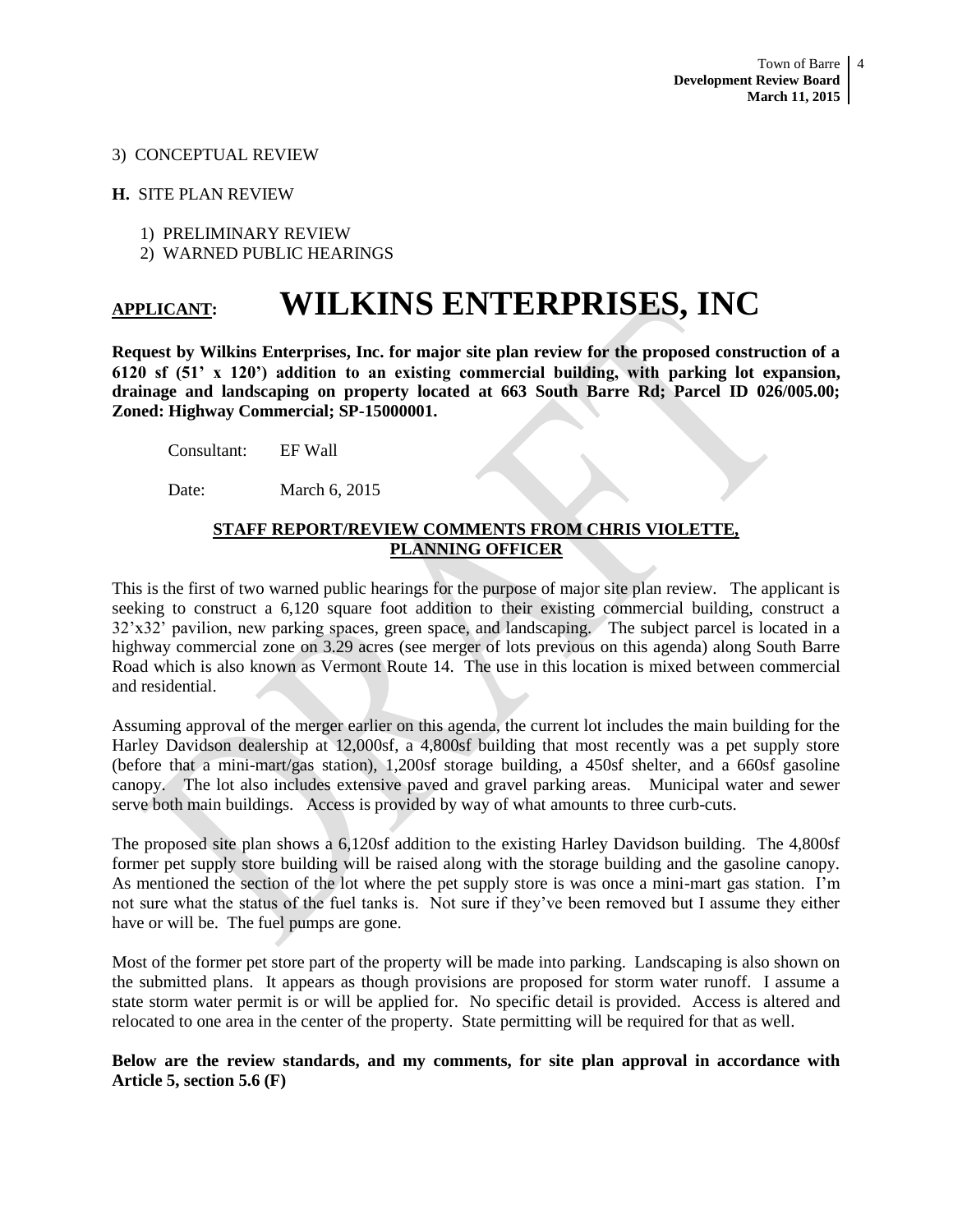#### 3) CONCEPTUAL REVIEW

#### **H.** SITE PLAN REVIEW

- 1) PRELIMINARY REVIEW
- 2) WARNED PUBLIC HEARINGS

# **APPLICANT: WILKINS ENTERPRISES, INC**

**Request by Wilkins Enterprises, Inc. for major site plan review for the proposed construction of a 6120 sf (51' x 120') addition to an existing commercial building, with parking lot expansion, drainage and landscaping on property located at 663 South Barre Rd; Parcel ID 026/005.00; Zoned: Highway Commercial; SP-15000001.**

Consultant: EF Wall

Date: March 6, 2015

# **STAFF REPORT/REVIEW COMMENTS FROM CHRIS VIOLETTE, PLANNING OFFICER**

This is the first of two warned public hearings for the purpose of major site plan review. The applicant is seeking to construct a 6,120 square foot addition to their existing commercial building, construct a 32'x32' pavilion, new parking spaces, green space, and landscaping. The subject parcel is located in a highway commercial zone on 3.29 acres (see merger of lots previous on this agenda) along South Barre Road which is also known as Vermont Route 14. The use in this location is mixed between commercial and residential.

Assuming approval of the merger earlier on this agenda, the current lot includes the main building for the Harley Davidson dealership at 12,000sf, a 4,800sf building that most recently was a pet supply store (before that a mini-mart/gas station), 1,200sf storage building, a 450sf shelter, and a 660sf gasoline canopy. The lot also includes extensive paved and gravel parking areas. Municipal water and sewer serve both main buildings. Access is provided by way of what amounts to three curb-cuts.

The proposed site plan shows a 6,120sf addition to the existing Harley Davidson building. The 4,800sf former pet supply store building will be raised along with the storage building and the gasoline canopy. As mentioned the section of the lot where the pet supply store is was once a mini-mart gas station. I'm not sure what the status of the fuel tanks is. Not sure if they've been removed but I assume they either have or will be. The fuel pumps are gone.

Most of the former pet store part of the property will be made into parking. Landscaping is also shown on the submitted plans. It appears as though provisions are proposed for storm water runoff. I assume a state storm water permit is or will be applied for. No specific detail is provided. Access is altered and relocated to one area in the center of the property. State permitting will be required for that as well.

# **Below are the review standards, and my comments, for site plan approval in accordance with Article 5, section 5.6 (F)**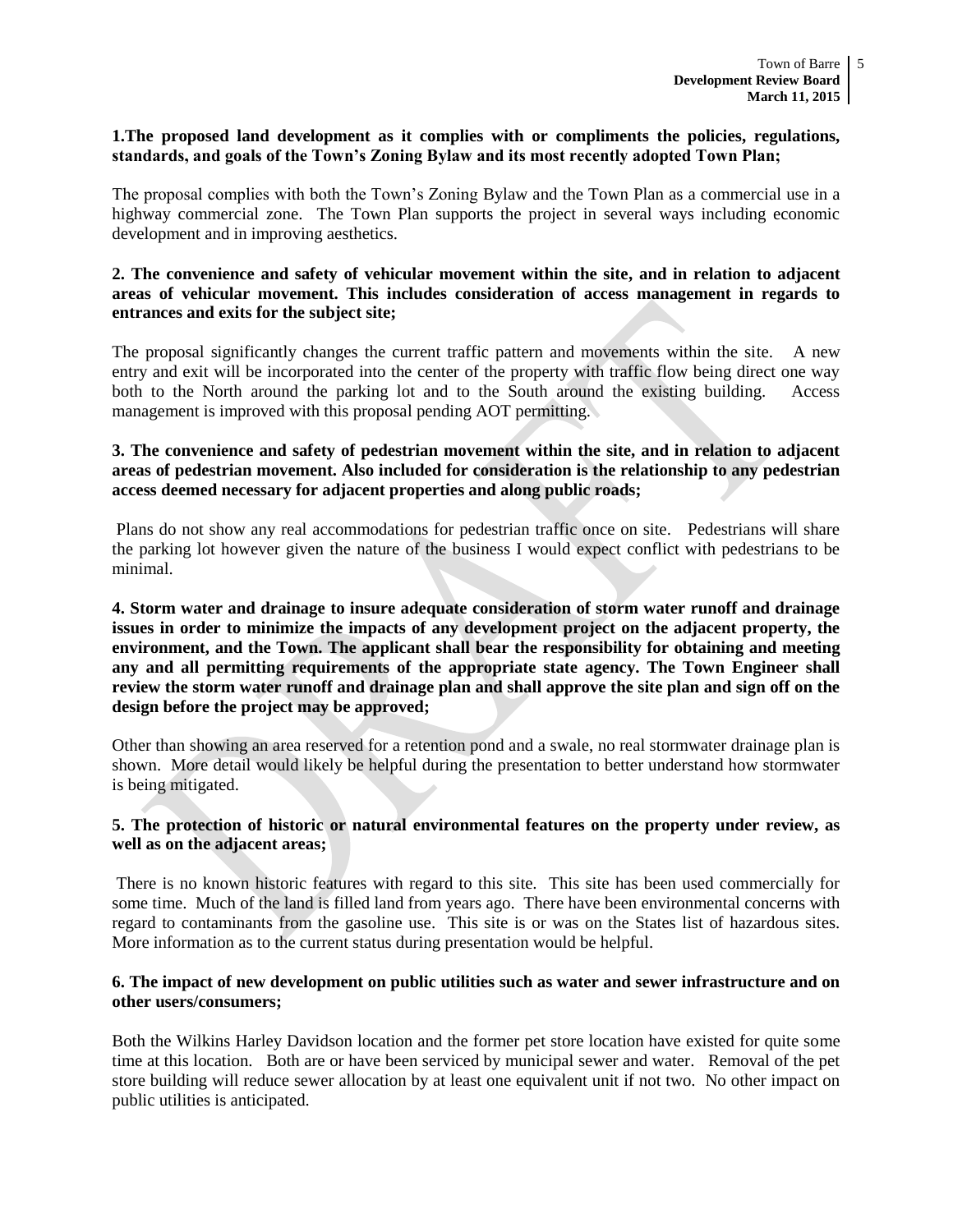#### **1.The proposed land development as it complies with or compliments the policies, regulations, standards, and goals of the Town's Zoning Bylaw and its most recently adopted Town Plan;**

The proposal complies with both the Town's Zoning Bylaw and the Town Plan as a commercial use in a highway commercial zone. The Town Plan supports the project in several ways including economic development and in improving aesthetics.

# **2. The convenience and safety of vehicular movement within the site, and in relation to adjacent areas of vehicular movement. This includes consideration of access management in regards to entrances and exits for the subject site;**

The proposal significantly changes the current traffic pattern and movements within the site. A new entry and exit will be incorporated into the center of the property with traffic flow being direct one way both to the North around the parking lot and to the South around the existing building. Access management is improved with this proposal pending AOT permitting.

# **3. The convenience and safety of pedestrian movement within the site, and in relation to adjacent areas of pedestrian movement. Also included for consideration is the relationship to any pedestrian access deemed necessary for adjacent properties and along public roads;**

Plans do not show any real accommodations for pedestrian traffic once on site. Pedestrians will share the parking lot however given the nature of the business I would expect conflict with pedestrians to be minimal.

# **4. Storm water and drainage to insure adequate consideration of storm water runoff and drainage issues in order to minimize the impacts of any development project on the adjacent property, the environment, and the Town. The applicant shall bear the responsibility for obtaining and meeting any and all permitting requirements of the appropriate state agency. The Town Engineer shall review the storm water runoff and drainage plan and shall approve the site plan and sign off on the design before the project may be approved;**

Other than showing an area reserved for a retention pond and a swale, no real stormwater drainage plan is shown. More detail would likely be helpful during the presentation to better understand how stormwater is being mitigated.

# **5. The protection of historic or natural environmental features on the property under review, as well as on the adjacent areas;**

There is no known historic features with regard to this site. This site has been used commercially for some time. Much of the land is filled land from years ago. There have been environmental concerns with regard to contaminants from the gasoline use. This site is or was on the States list of hazardous sites. More information as to the current status during presentation would be helpful.

#### **6. The impact of new development on public utilities such as water and sewer infrastructure and on other users/consumers;**

Both the Wilkins Harley Davidson location and the former pet store location have existed for quite some time at this location. Both are or have been serviced by municipal sewer and water. Removal of the pet store building will reduce sewer allocation by at least one equivalent unit if not two. No other impact on public utilities is anticipated.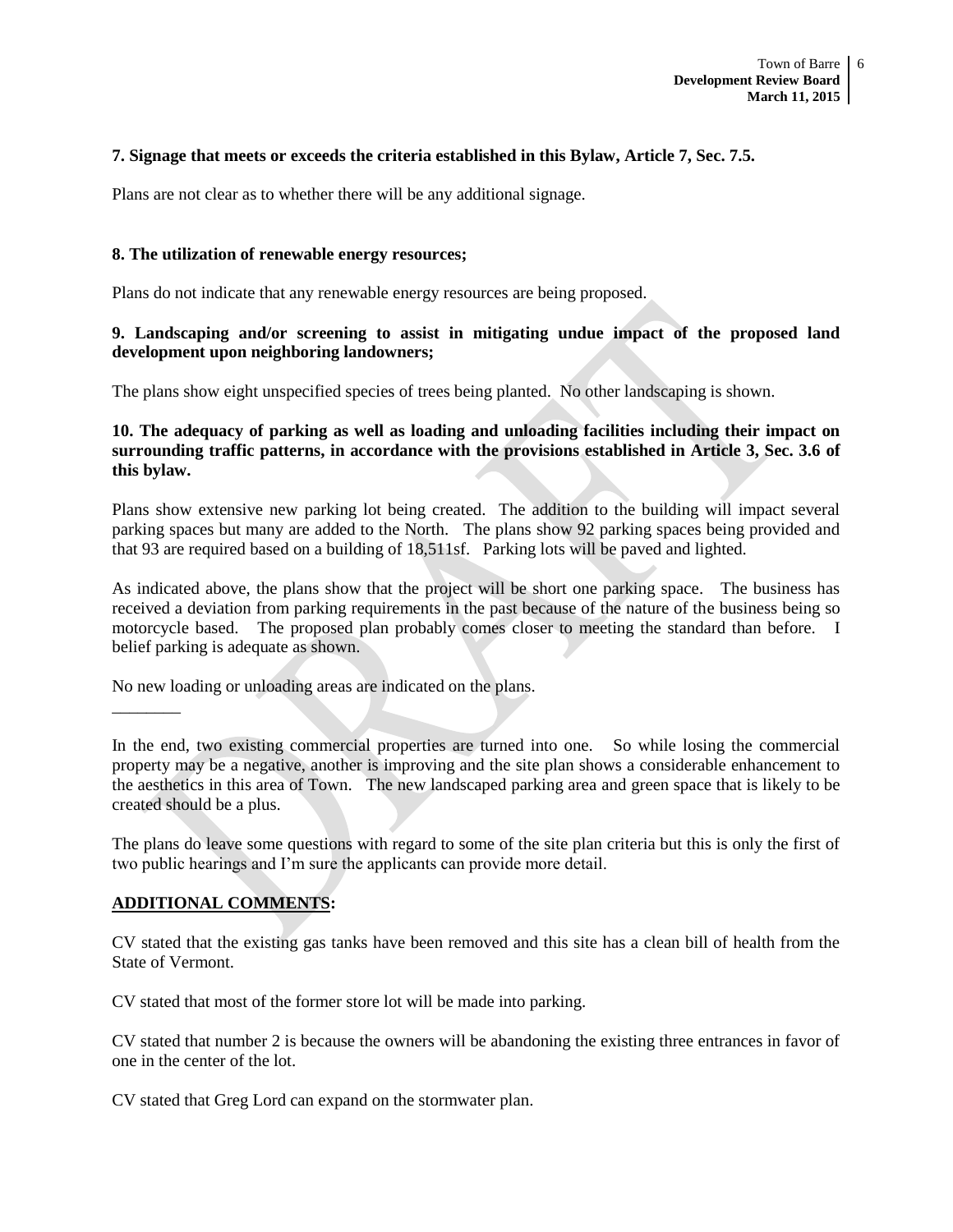#### **7. Signage that meets or exceeds the criteria established in this Bylaw, Article 7, Sec. 7.5.**

Plans are not clear as to whether there will be any additional signage.

#### **8. The utilization of renewable energy resources;**

Plans do not indicate that any renewable energy resources are being proposed.

# **9. Landscaping and/or screening to assist in mitigating undue impact of the proposed land development upon neighboring landowners;**

The plans show eight unspecified species of trees being planted. No other landscaping is shown.

# **10. The adequacy of parking as well as loading and unloading facilities including their impact on surrounding traffic patterns, in accordance with the provisions established in Article 3, Sec. 3.6 of this bylaw.**

Plans show extensive new parking lot being created. The addition to the building will impact several parking spaces but many are added to the North. The plans show 92 parking spaces being provided and that 93 are required based on a building of 18,511sf. Parking lots will be paved and lighted.

As indicated above, the plans show that the project will be short one parking space. The business has received a deviation from parking requirements in the past because of the nature of the business being so motorcycle based. The proposed plan probably comes closer to meeting the standard than before. I belief parking is adequate as shown.

No new loading or unloading areas are indicated on the plans.

In the end, two existing commercial properties are turned into one. So while losing the commercial property may be a negative, another is improving and the site plan shows a considerable enhancement to the aesthetics in this area of Town. The new landscaped parking area and green space that is likely to be created should be a plus.

The plans do leave some questions with regard to some of the site plan criteria but this is only the first of two public hearings and I'm sure the applicants can provide more detail.

# **ADDITIONAL COMMENTS:**

 $\overline{\phantom{a}}$ 

CV stated that the existing gas tanks have been removed and this site has a clean bill of health from the State of Vermont.

CV stated that most of the former store lot will be made into parking.

CV stated that number 2 is because the owners will be abandoning the existing three entrances in favor of one in the center of the lot.

CV stated that Greg Lord can expand on the stormwater plan.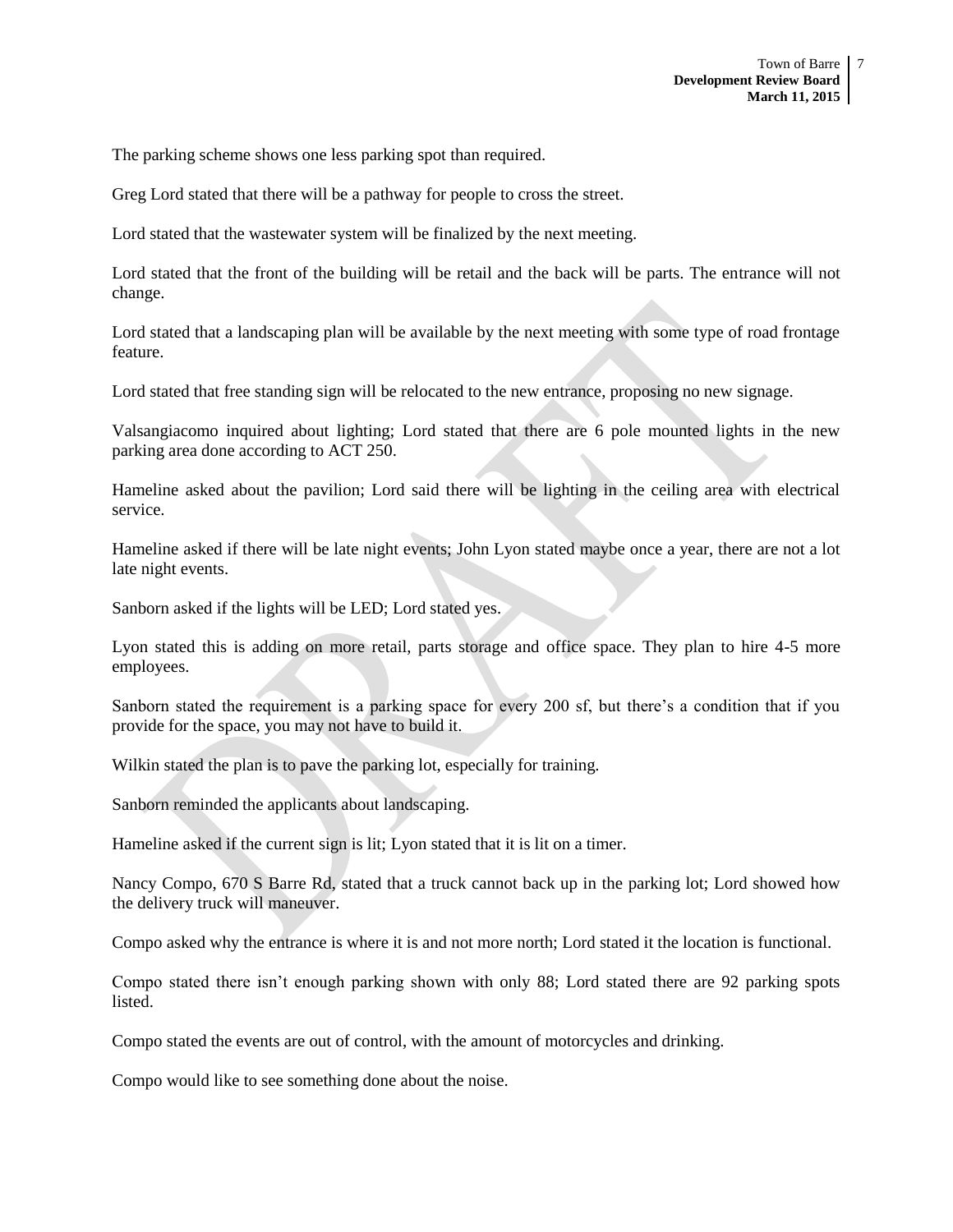The parking scheme shows one less parking spot than required.

Greg Lord stated that there will be a pathway for people to cross the street.

Lord stated that the wastewater system will be finalized by the next meeting.

Lord stated that the front of the building will be retail and the back will be parts. The entrance will not change.

Lord stated that a landscaping plan will be available by the next meeting with some type of road frontage feature.

Lord stated that free standing sign will be relocated to the new entrance, proposing no new signage.

Valsangiacomo inquired about lighting; Lord stated that there are 6 pole mounted lights in the new parking area done according to ACT 250.

Hameline asked about the pavilion; Lord said there will be lighting in the ceiling area with electrical service.

Hameline asked if there will be late night events; John Lyon stated maybe once a year, there are not a lot late night events.

Sanborn asked if the lights will be LED; Lord stated yes.

Lyon stated this is adding on more retail, parts storage and office space. They plan to hire 4-5 more employees.

Sanborn stated the requirement is a parking space for every 200 sf, but there's a condition that if you provide for the space, you may not have to build it.

Wilkin stated the plan is to pave the parking lot, especially for training.

Sanborn reminded the applicants about landscaping.

Hameline asked if the current sign is lit; Lyon stated that it is lit on a timer.

Nancy Compo, 670 S Barre Rd, stated that a truck cannot back up in the parking lot; Lord showed how the delivery truck will maneuver.

Compo asked why the entrance is where it is and not more north; Lord stated it the location is functional.

Compo stated there isn't enough parking shown with only 88; Lord stated there are 92 parking spots listed.

Compo stated the events are out of control, with the amount of motorcycles and drinking.

Compo would like to see something done about the noise.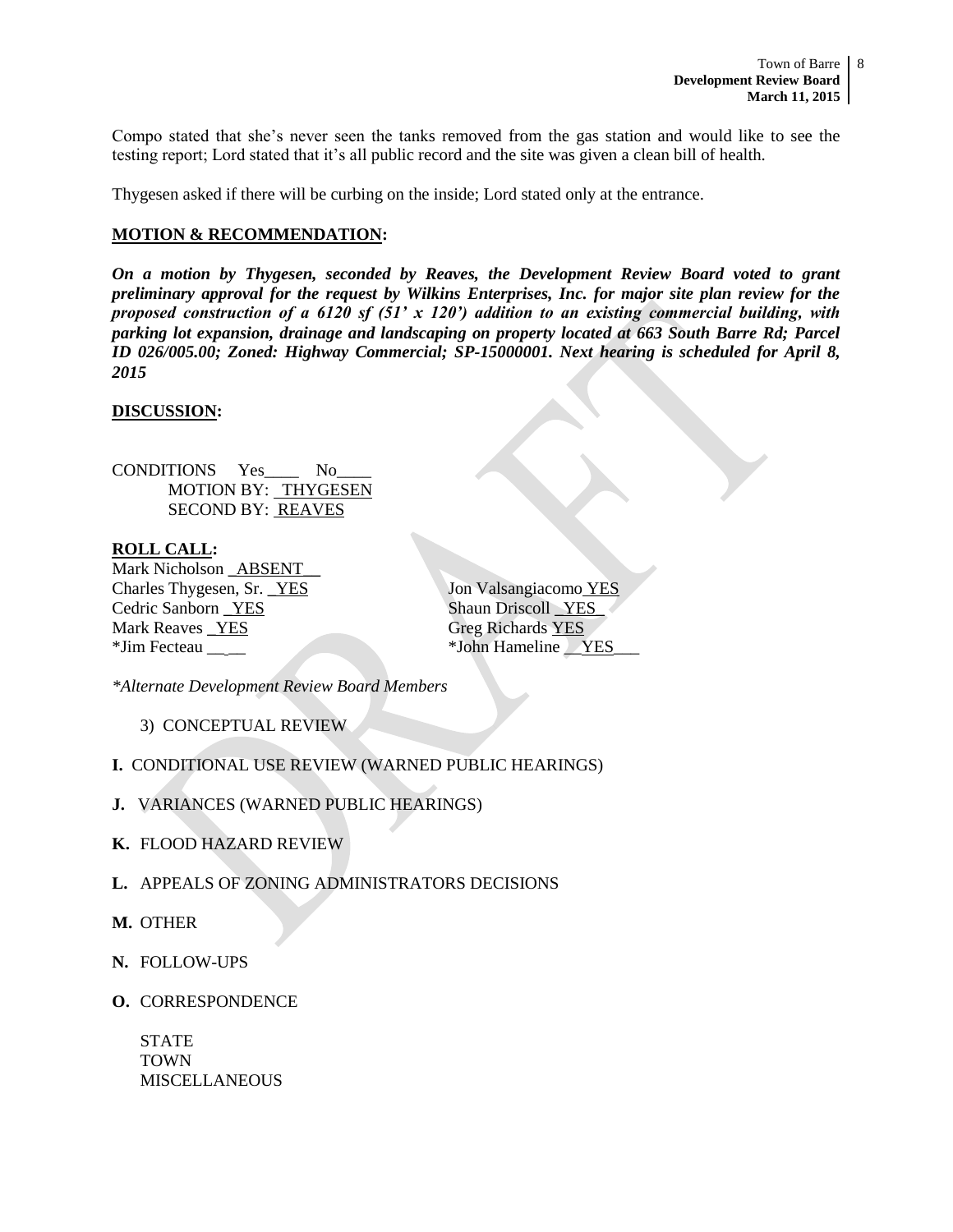Compo stated that she's never seen the tanks removed from the gas station and would like to see the testing report; Lord stated that it's all public record and the site was given a clean bill of health.

Thygesen asked if there will be curbing on the inside; Lord stated only at the entrance.

# **MOTION & RECOMMENDATION:**

*On a motion by Thygesen, seconded by Reaves, the Development Review Board voted to grant preliminary approval for the request by Wilkins Enterprises, Inc. for major site plan review for the proposed construction of a 6120 sf (51' x 120') addition to an existing commercial building, with parking lot expansion, drainage and landscaping on property located at 663 South Barre Rd; Parcel ID 026/005.00; Zoned: Highway Commercial; SP-15000001. Next hearing is scheduled for April 8, 2015*

# **DISCUSSION:**

CONDITIONS Yes\_\_\_\_ No\_\_\_\_ MOTION BY: THYGESEN SECOND BY: REAVES

#### **ROLL CALL:**

Mark Nicholson \_ABSENT Charles Thygesen, Sr. <u>YES</u> Jon Valsangiacomo YES Cedric Sanborn <u>\_YES</u> Shaun Driscoll \_YES\_ Mark Reaves YES Greg Richards YES \*Jim Fecteau \_\_ \_\_ \*John Hameline \_\_YES\_\_\_

*\*Alternate Development Review Board Members*

3) CONCEPTUAL REVIEW

- **I.** CONDITIONAL USE REVIEW (WARNED PUBLIC HEARINGS)
- **J.** VARIANCES (WARNED PUBLIC HEARINGS)
- **K.** FLOOD HAZARD REVIEW
- **L.** APPEALS OF ZONING ADMINISTRATORS DECISIONS
- **M.** OTHER
- **N.** FOLLOW-UPS
- **O.** CORRESPONDENCE

STATE TOWN MISCELLANEOUS